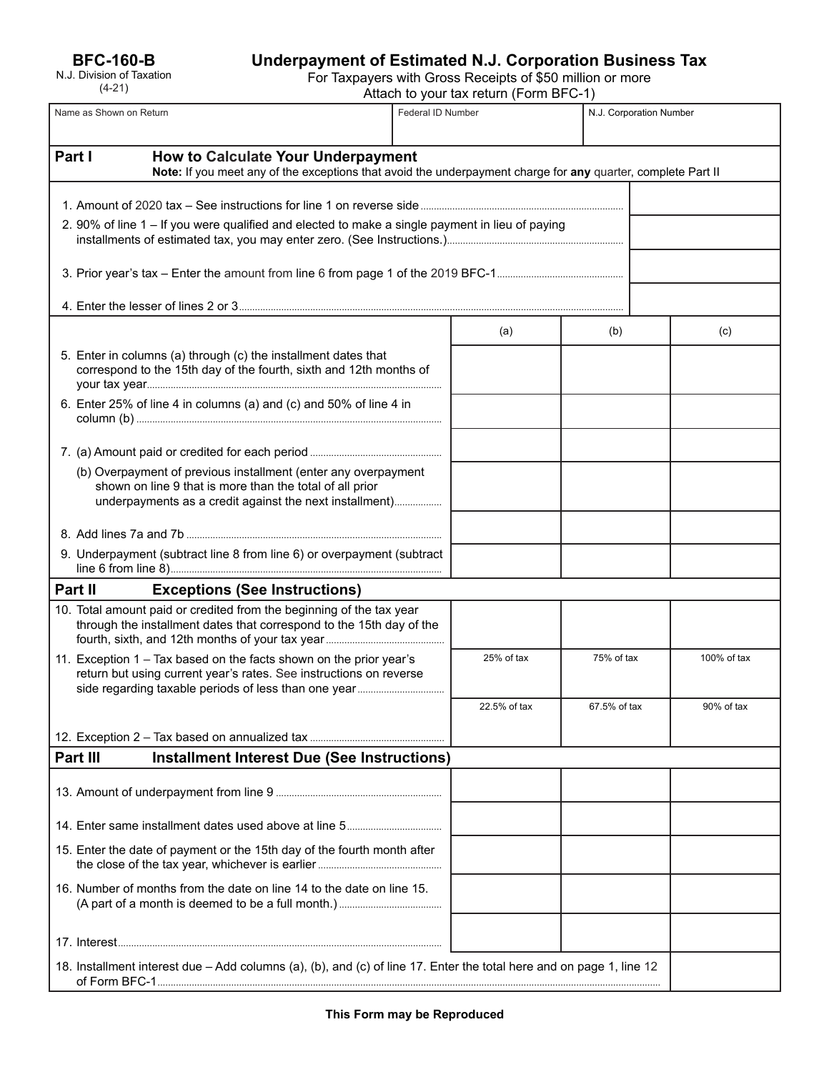**BFC-160-B**

| N.J. Division of Taxation |  |
|---------------------------|--|
| $(4-21)$                  |  |

# **Underpayment of Estimated N.J. Corporation Business Tax**

For Taxpayers with Gross Receipts of \$50 million or more

Attach to your tax return (Form BFC-1)

|                                                                                                                                                              | Name as Shown on Return                                                                                                                                                               | Federal ID Number |              |              | N.J. Corporation Number |  |
|--------------------------------------------------------------------------------------------------------------------------------------------------------------|---------------------------------------------------------------------------------------------------------------------------------------------------------------------------------------|-------------------|--------------|--------------|-------------------------|--|
| Part I<br>How to Calculate Your Underpayment<br>Note: If you meet any of the exceptions that avoid the underpayment charge for any quarter, complete Part II |                                                                                                                                                                                       |                   |              |              |                         |  |
|                                                                                                                                                              | 2. 90% of line 1 – If you were qualified and elected to make a single payment in lieu of paying                                                                                       |                   |              |              |                         |  |
|                                                                                                                                                              |                                                                                                                                                                                       |                   |              |              |                         |  |
|                                                                                                                                                              |                                                                                                                                                                                       |                   |              |              |                         |  |
|                                                                                                                                                              |                                                                                                                                                                                       |                   | (a)          | (b)          | (c)                     |  |
|                                                                                                                                                              | 5. Enter in columns (a) through (c) the installment dates that<br>correspond to the 15th day of the fourth, sixth and 12th months of                                                  |                   |              |              |                         |  |
|                                                                                                                                                              | 6. Enter 25% of line 4 in columns (a) and (c) and 50% of line 4 in                                                                                                                    |                   |              |              |                         |  |
|                                                                                                                                                              |                                                                                                                                                                                       |                   |              |              |                         |  |
|                                                                                                                                                              | (b) Overpayment of previous installment (enter any overpayment<br>shown on line 9 that is more than the total of all prior<br>underpayments as a credit against the next installment) |                   |              |              |                         |  |
|                                                                                                                                                              |                                                                                                                                                                                       |                   |              |              |                         |  |
|                                                                                                                                                              | 9. Underpayment (subtract line 8 from line 6) or overpayment (subtract                                                                                                                |                   |              |              |                         |  |
| Part II<br><b>Exceptions (See Instructions)</b>                                                                                                              |                                                                                                                                                                                       |                   |              |              |                         |  |
|                                                                                                                                                              | 10. Total amount paid or credited from the beginning of the tax year<br>through the installment dates that correspond to the 15th day of the                                          |                   |              |              |                         |  |
|                                                                                                                                                              | 11. Exception 1 – Tax based on the facts shown on the prior year's<br>return but using current year's rates. See instructions on reverse                                              |                   | 25% of tax   | 75% of tax   | 100% of tax             |  |
|                                                                                                                                                              |                                                                                                                                                                                       |                   | 22.5% of tax | 67.5% of tax | 90% of tax              |  |
|                                                                                                                                                              |                                                                                                                                                                                       |                   |              |              |                         |  |
| Part III<br><b>Installment Interest Due (See Instructions)</b>                                                                                               |                                                                                                                                                                                       |                   |              |              |                         |  |
|                                                                                                                                                              |                                                                                                                                                                                       |                   |              |              |                         |  |
|                                                                                                                                                              |                                                                                                                                                                                       |                   |              |              |                         |  |
|                                                                                                                                                              | 15. Enter the date of payment or the 15th day of the fourth month after                                                                                                               |                   |              |              |                         |  |
|                                                                                                                                                              | 16. Number of months from the date on line 14 to the date on line 15.                                                                                                                 |                   |              |              |                         |  |
|                                                                                                                                                              |                                                                                                                                                                                       |                   |              |              |                         |  |
|                                                                                                                                                              | 18. Installment interest due - Add columns (a), (b), and (c) of line 17. Enter the total here and on page 1, line 12                                                                  |                   |              |              |                         |  |